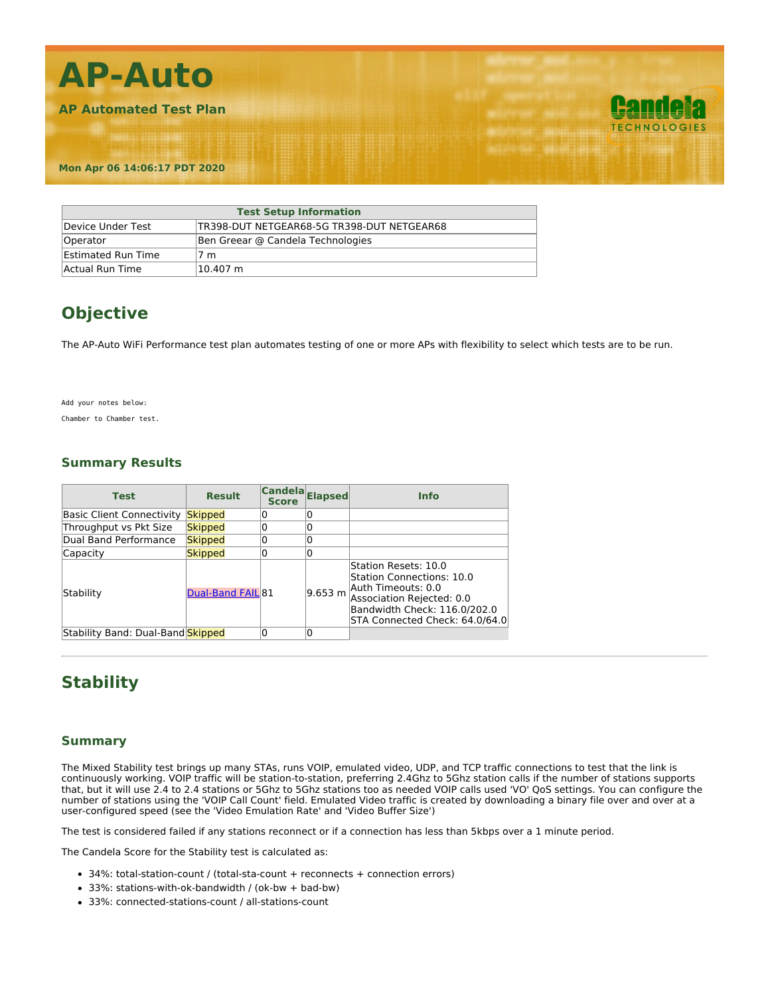

| <b>Test Setup Information</b> |                                            |  |
|-------------------------------|--------------------------------------------|--|
| Device Under Test             | TR398-DUT NETGEAR68-5G TR398-DUT NETGEAR68 |  |
| Operator                      | Ben Greear @ Candela Technologies          |  |
| <b>Estimated Run Time</b>     | 7 m                                        |  |
| Actual Run Time               | 10.407 m                                   |  |

## **Objective**

The AP-Auto WiFi Performance test plan automates testing of one or more APs with flexibility to select which tests are to be run.

Add your notes below:

Chamber to Chamber test.

### **Summary Results**

| <b>Test</b>                       | <b>Result</b>     | Candela Elapsed<br><b>Score</b> |         | <b>Info</b>                                                                                                                                                            |
|-----------------------------------|-------------------|---------------------------------|---------|------------------------------------------------------------------------------------------------------------------------------------------------------------------------|
| <b>Basic Client Connectivity</b>  | <b>Skipped</b>    |                                 |         |                                                                                                                                                                        |
| Throughput vs Pkt Size            | <b>Skipped</b>    |                                 |         |                                                                                                                                                                        |
| Dual Band Performance             | <b>Skipped</b>    |                                 |         |                                                                                                                                                                        |
| Capacity                          | <b>Skipped</b>    |                                 |         |                                                                                                                                                                        |
| Stability                         | Dual-Band FAIL 81 |                                 | 9.653 m | Station Resets: 10.0<br>Station Connections: 10.0<br>Auth Timeouts: 0.0<br>Association Rejected: 0.0<br>Bandwidth Check: 116.0/202.0<br>STA Connected Check: 64.0/64.0 |
| Stability Band: Dual-Band Skipped |                   |                                 |         |                                                                                                                                                                        |

### **Stability**

#### **Summary**

The Mixed Stability test brings up many STAs, runs VOIP, emulated video, UDP, and TCP traffic connections to test that the link is continuously working. VOIP traffic will be station-to-station, preferring 2.4Ghz to 5Ghz station calls if the number of stations supports that, but it will use 2.4 to 2.4 stations or 5Ghz to 5Ghz stations too as needed VOIP calls used 'VO' QoS settings. You can configure the number of stations using the 'VOIP Call Count' field. Emulated Video traffic is created by downloading a binary file over and over at a user-configured speed (see the 'Video Emulation Rate' and 'Video Buffer Size')

The test is considered failed if any stations reconnect or if a connection has less than 5kbps over a 1 minute period.

The Candela Score for the Stability test is calculated as:

- 34%: total-station-count / (total-sta-count + reconnects + connection errors)
- 33%: stations-with-ok-bandwidth / (ok-bw + bad-bw)
- 33%: connected-stations-count / all-stations-count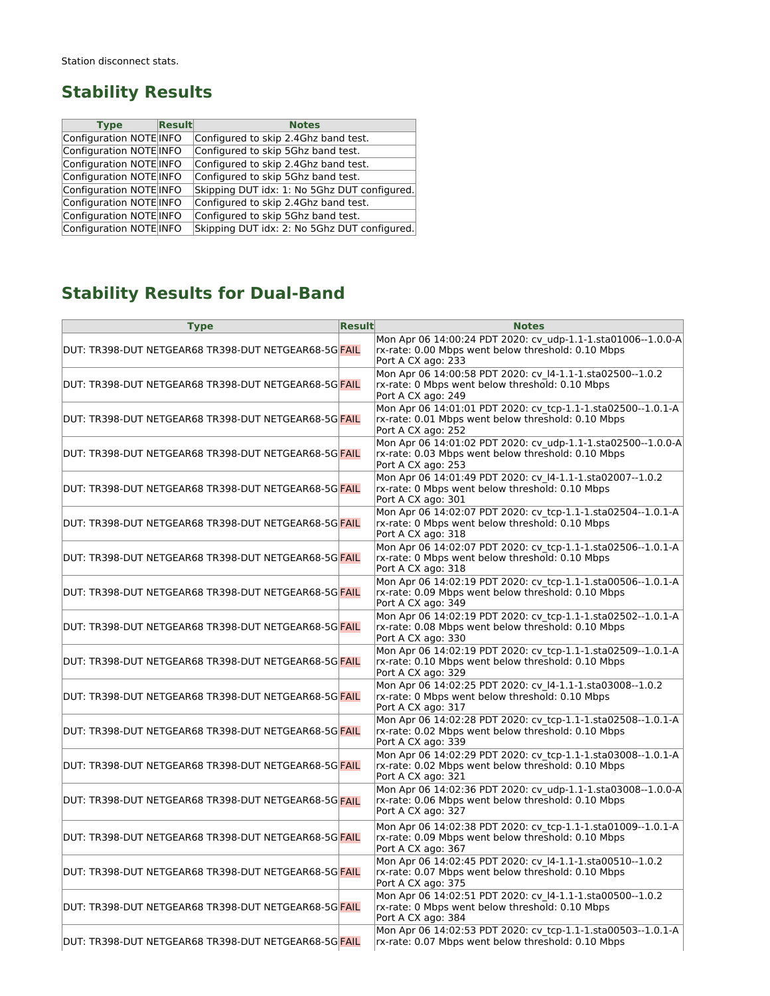### **Stability Results**

| <b>Type</b>             | $\sf Result$ | <b>Notes</b>                                 |
|-------------------------|--------------|----------------------------------------------|
| Configuration NOTE INFO |              | Configured to skip 2.4Ghz band test.         |
| Configuration NOTE INFO |              | Configured to skip 5Ghz band test.           |
| Configuration NOTE INFO |              | Configured to skip 2.4Ghz band test.         |
| Configuration NOTE INFO |              | Configured to skip 5Ghz band test.           |
| Configuration NOTE INFO |              | Skipping DUT idx: 1: No 5Ghz DUT configured. |
| Configuration NOTE INFO |              | Configured to skip 2.4Ghz band test.         |
| Configuration NOTE INFO |              | Configured to skip 5Ghz band test.           |
| Configuration NOTE INFO |              | Skipping DUT idx: 2: No 5Ghz DUT configured. |

# **Stability Results for Dual-Band**

| <b>Type</b>                                                         | Result | <b>Notes</b>                                                                                                                             |
|---------------------------------------------------------------------|--------|------------------------------------------------------------------------------------------------------------------------------------------|
| lDUT: TR398-DUT NETGEAR68 TR398-DUT NETGEAR68-5Gl <mark>FAIL</mark> |        | Mon Apr 06 14:00:24 PDT 2020: cv udp-1.1-1.sta01006--1.0.0-A<br>rx-rate: 0.00 Mbps went below threshold: 0.10 Mbps<br>Port A CX ago: 233 |
| DUT: TR398-DUT NETGEAR68 TR398-DUT NETGEAR68-5G  <mark>FAIL</mark>  |        | Mon Apr 06 14:00:58 PDT 2020: cv I4-1.1-1.sta02500--1.0.2<br>rx-rate: 0 Mbps went below threshold: 0.10 Mbps<br>Port A CX ago: 249       |
| DUT: TR398-DUT NETGEAR68 TR398-DUT NETGEAR68-5G <mark>FAIL</mark>   |        | Mon Apr 06 14:01:01 PDT 2020: cv tcp-1.1-1.sta02500--1.0.1-A<br>rx-rate: 0.01 Mbps went below threshold: 0.10 Mbps<br>Port A CX ago: 252 |
| DUT: TR398-DUT NETGEAR68 TR398-DUT NETGEAR68-5Gl <mark>FAIL</mark>  |        | Mon Apr 06 14:01:02 PDT 2020: cv udp-1.1-1.sta02500--1.0.0-A<br>rx-rate: 0.03 Mbps went below threshold: 0.10 Mbps<br>Port A CX ago: 253 |
| DUT: TR398-DUT NETGEAR68 TR398-DUT NETGEAR68-5G  <mark>FAIL</mark>  |        | Mon Apr 06 14:01:49 PDT 2020: cv I4-1.1-1.sta02007--1.0.2<br>rx-rate: 0 Mbps went below threshold: 0.10 Mbps<br>Port A CX ago: 301       |
| lDUT: TR398-DUT NETGEAR68 TR398-DUT NETGEAR68-5Gl <mark>FAIL</mark> |        | Mon Apr 06 14:02:07 PDT 2020: cv tcp-1.1-1.sta02504--1.0.1-A<br>rx-rate: 0 Mbps went below threshold: 0.10 Mbps<br>Port A CX ago: 318    |
| DUT: TR398-DUT NETGEAR68 TR398-DUT NETGEAR68-5G  <mark>FAIL</mark>  |        | Mon Apr 06 14:02:07 PDT 2020: cv_tcp-1.1-1.sta02506--1.0.1-A<br>rx-rate: 0 Mbps went below threshold: 0.10 Mbps<br>Port A CX ago: 318    |
| DUT: TR398-DUT NETGEAR68 TR398-DUT NETGEAR68-5GlFAIL                |        | Mon Apr 06 14:02:19 PDT 2020: cv_tcp-1.1-1.sta00506--1.0.1-A<br>rx-rate: 0.09 Mbps went below threshold: 0.10 Mbps<br>Port A CX ago: 349 |
| DUT: TR398-DUT NETGEAR68 TR398-DUT NETGEAR68-5G <mark>FAIL</mark>   |        | Mon Apr 06 14:02:19 PDT 2020: cv_tcp-1.1-1.sta02502--1.0.1-A<br>rx-rate: 0.08 Mbps went below threshold: 0.10 Mbps<br>Port A CX ago: 330 |
| DUT: TR398-DUT NETGEAR68 TR398-DUT NETGEAR68-5G <mark>FAIL</mark>   |        | Mon Apr 06 14:02:19 PDT 2020: cv tcp-1.1-1.sta02509--1.0.1-A<br>rx-rate: 0.10 Mbps went below threshold: 0.10 Mbps<br>Port A CX ago: 329 |
| DUT: TR398-DUT NETGEAR68 TR398-DUT NETGEAR68-5G <mark>FAIL</mark>   |        | Mon Apr 06 14:02:25 PDT 2020: cv 14-1.1-1.sta03008--1.0.2<br>rx-rate: 0 Mbps went below threshold: 0.10 Mbps<br>Port A CX ago: 317       |
| DUT: TR398-DUT NETGEAR68 TR398-DUT NETGEAR68-5G <mark>FAIL</mark>   |        | Mon Apr 06 14:02:28 PDT 2020: cv tcp-1.1-1.sta02508--1.0.1-A<br>rx-rate: 0.02 Mbps went below threshold: 0.10 Mbps<br>Port A CX ago: 339 |
| DUT: TR398-DUT NETGEAR68 TR398-DUT NETGEAR68-5G <mark>FAIL</mark>   |        | Mon Apr 06 14:02:29 PDT 2020: cv_tcp-1.1-1.sta03008--1.0.1-A<br>rx-rate: 0.02 Mbps went below threshold: 0.10 Mbps<br>Port A CX ago: 321 |
| DUT: TR398-DUT NETGEAR68 TR398-DUT NETGEAR68-5G <mark>FAIL</mark>   |        | Mon Apr 06 14:02:36 PDT 2020: cv udp-1.1-1.sta03008--1.0.0-A<br>rx-rate: 0.06 Mbps went below threshold: 0.10 Mbps<br>Port A CX ago: 327 |
| DUT: TR398-DUT NETGEAR68 TR398-DUT NETGEAR68-5G <mark>FAIL</mark>   |        | Mon Apr 06 14:02:38 PDT 2020: cv tcp-1.1-1.sta01009--1.0.1-A<br>rx-rate: 0.09 Mbps went below threshold: 0.10 Mbps<br>Port A CX ago: 367 |
| DUT: TR398-DUT NETGEAR68 TR398-DUT NETGEAR68-5Gl <mark>FAIL</mark>  |        | Mon Apr 06 14:02:45 PDT 2020: cv I4-1.1-1.sta00510--1.0.2<br>rx-rate: 0.07 Mbps went below threshold: 0.10 Mbps<br>Port A CX ago: 375    |
| lDUT: TR398-DUT NETGEAR68 TR398-DUT NETGEAR68-5Gl <mark>FAIL</mark> |        | Mon Apr 06 14:02:51 PDT 2020: cv I4-1.1-1.sta00500--1.0.2<br>rx-rate: 0 Mbps went below threshold: 0.10 Mbps<br>Port A CX ago: 384       |
| DUT: TR398-DUT NETGEAR68 TR398-DUT NETGEAR68-5G  <mark>FAIL</mark>  |        | Mon Apr 06 14:02:53 PDT 2020: cv_tcp-1.1-1.sta00503--1.0.1-A<br>rx-rate: 0.07 Mbps went below threshold: 0.10 Mbps                       |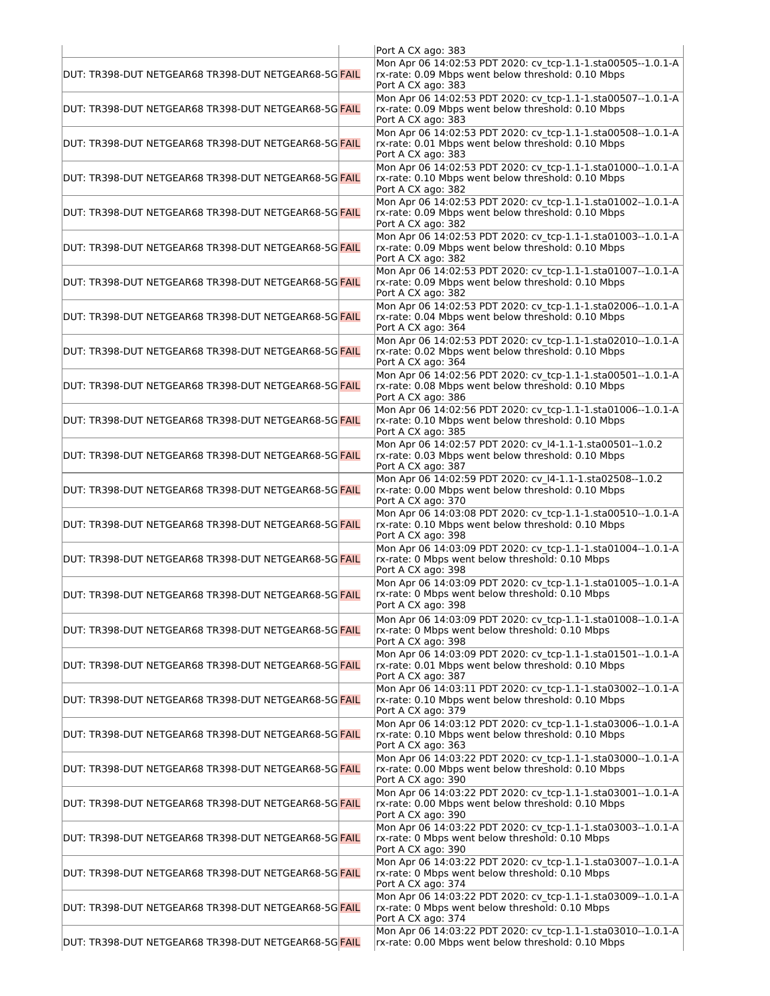| DUT: TR398-DUT NETGEAR68 TR398-DUT NETGEAR68-5G FAIL               | Port A CX ago: 383<br>Mon Apr 06 14:02:53 PDT 2020: cv tcp-1.1-1.sta00505--1.0.1-A<br>rx-rate: 0.09 Mbps went below threshold: 0.10 Mbps                       |
|--------------------------------------------------------------------|----------------------------------------------------------------------------------------------------------------------------------------------------------------|
| DUT: TR398-DUT NETGEAR68 TR398-DUT NETGEAR68-5G  <mark>FAIL</mark> | Port A CX ago: 383<br>Mon Apr 06 14:02:53 PDT 2020: cv tcp-1.1-1.sta00507--1.0.1-A<br>rx-rate: 0.09 Mbps went below threshold: 0.10 Mbps<br>Port A CX ago: 383 |
| DUT: TR398-DUT NETGEAR68 TR398-DUT NETGEAR68-5G FAIL               | Mon Apr 06 14:02:53 PDT 2020: cv tcp-1.1-1.sta00508--1.0.1-A<br>rx-rate: 0.01 Mbps went below threshold: 0.10 Mbps<br>Port A CX ago: 383                       |
| DUT: TR398-DUT NETGEAR68 TR398-DUT NETGEAR68-5G FAIL               | Mon Apr 06 14:02:53 PDT 2020: cv_tcp-1.1-1.sta01000--1.0.1-A<br>rx-rate: 0.10 Mbps went below threshold: 0.10 Mbps<br>Port A CX ago: 382                       |
| DUT: TR398-DUT NETGEAR68 TR398-DUT NETGEAR68-5G  <mark>FAIL</mark> | Mon Apr 06 14:02:53 PDT 2020: cv tcp-1.1-1.sta01002--1.0.1-A<br>rx-rate: 0.09 Mbps went below threshold: 0.10 Mbps<br>Port A CX ago: 382                       |
| DUT: TR398-DUT NETGEAR68 TR398-DUT NETGEAR68-5G  <mark>FAIL</mark> | Mon Apr 06 14:02:53 PDT 2020: cv tcp-1.1-1.sta01003--1.0.1-A<br>rx-rate: 0.09 Mbps went below threshold: 0.10 Mbps<br>Port A CX ago: 382                       |
| DUT: TR398-DUT NETGEAR68 TR398-DUT NETGEAR68-5G  <mark>FAIL</mark> | Mon Apr 06 14:02:53 PDT 2020: cv tcp-1.1-1.sta01007--1.0.1-A<br>rx-rate: 0.09 Mbps went below threshold: 0.10 Mbps<br>Port A CX ago: 382                       |
| DUT: TR398-DUT NETGEAR68 TR398-DUT NETGEAR68-5G FAIL               | Mon Apr 06 14:02:53 PDT 2020: cv tcp-1.1-1.sta02006--1.0.1-A<br>rx-rate: 0.04 Mbps went below threshold: 0.10 Mbps<br>Port A CX ago: 364                       |
| DUT: TR398-DUT NETGEAR68 TR398-DUT NETGEAR68-5Gl <mark>FAIL</mark> | Mon Apr 06 14:02:53 PDT 2020: cv tcp-1.1-1.sta02010--1.0.1-A<br>rx-rate: 0.02 Mbps went below threshold: 0.10 Mbps<br>Port A CX ago: 364                       |
| DUT: TR398-DUT NETGEAR68 TR398-DUT NETGEAR68-5G FAIL               | Mon Apr 06 14:02:56 PDT 2020: cv tcp-1.1-1.sta00501--1.0.1-A<br>rx-rate: 0.08 Mbps went below threshold: 0.10 Mbps<br>Port A CX ago: 386                       |
| DUT: TR398-DUT NETGEAR68 TR398-DUT NETGEAR68-5G  <mark>FAIL</mark> | Mon Apr 06 14:02:56 PDT 2020: cv tcp-1.1-1.sta01006--1.0.1-A<br>rx-rate: 0.10 Mbps went below threshold: 0.10 Mbps<br>Port A CX ago: 385                       |
| DUT: TR398-DUT NETGEAR68 TR398-DUT NETGEAR68-5G  <mark>FAIL</mark> | Mon Apr 06 14:02:57 PDT 2020: cv_l4-1.1-1.sta00501--1.0.2<br>rx-rate: 0.03 Mbps went below threshold: 0.10 Mbps<br>Port A CX ago: 387                          |
| DUT: TR398-DUT NETGEAR68 TR398-DUT NETGEAR68-5G  <mark>FAIL</mark> | Mon Apr 06 14:02:59 PDT 2020: cv I4-1.1-1.sta02508--1.0.2<br>rx-rate: 0.00 Mbps went below threshold: 0.10 Mbps<br>Port A CX ago: 370                          |
| DUT: TR398-DUT NETGEAR68 TR398-DUT NETGEAR68-5G  <mark>FAIL</mark> | Mon Apr 06 14:03:08 PDT 2020: cv_tcp-1.1-1.sta00510--1.0.1-A<br>rx-rate: 0.10 Mbps went below threshold: 0.10 Mbps<br>Port A CX ago: 398                       |
| DUT: TR398-DUT NETGEAR68 TR398-DUT NETGEAR68-5G FAIL               | Mon Apr 06 14:03:09 PDT 2020: cv tcp-1.1-1.sta01004--1.0.1-A<br>rx-rate: 0 Mbps went below threshold: 0.10 Mbps<br>Port A CX ago: 398                          |
| DUT: TR398-DUT NETGEAR68 TR398-DUT NETGEAR68-5G  <mark>FAIL</mark> | Mon Apr 06 14:03:09 PDT 2020: cv tcp-1.1-1.sta01005--1.0.1-A<br>rx-rate: 0 Mbps went below threshold: 0.10 Mbps<br>Port A CX ago: 398                          |
| DUT: TR398-DUT NETGEAR68 TR398-DUT NETGEAR68-5G  <mark>FAIL</mark> | Mon Apr 06 14:03:09 PDT 2020: cv tcp-1.1-1.sta01008--1.0.1-A<br>rx-rate: 0 Mbps went below threshold: 0.10 Mbps<br>Port A CX ago: 398                          |
| DUT: TR398-DUT NETGEAR68 TR398-DUT NETGEAR68-5G  <mark>FAIL</mark> | Mon Apr 06 14:03:09 PDT 2020: cv tcp-1.1-1.sta01501--1.0.1-A<br>rx-rate: 0.01 Mbps went below threshold: 0.10 Mbps<br>Port A CX ago: 387                       |
| DUT: TR398-DUT NETGEAR68 TR398-DUT NETGEAR68-5G  <mark>FAIL</mark> | Mon Apr 06 14:03:11 PDT 2020: cv_tcp-1.1-1.sta03002--1.0.1-A<br>rx-rate: 0.10 Mbps went below threshold: 0.10 Mbps<br>Port A CX ago: 379                       |
| DUT: TR398-DUT NETGEAR68 TR398-DUT NETGEAR68-5G <mark>FAIL</mark>  | Mon Apr 06 14:03:12 PDT 2020: cv_tcp-1.1-1.sta03006--1.0.1-A<br>rx-rate: 0.10 Mbps went below threshold: 0.10 Mbps<br>Port A CX ago: 363                       |
| DUT: TR398-DUT NETGEAR68 TR398-DUT NETGEAR68-5G FAIL               | Mon Apr 06 14:03:22 PDT 2020: cv tcp-1.1-1.sta03000--1.0.1-A<br>rx-rate: 0.00 Mbps went below threshold: 0.10 Mbps<br>Port A CX ago: 390                       |
| DUT: TR398-DUT NETGEAR68 TR398-DUT NETGEAR68-5G  <mark>FAIL</mark> | Mon Apr 06 14:03:22 PDT 2020: cv_tcp-1.1-1.sta03001--1.0.1-A<br>rx-rate: 0.00 Mbps went below threshold: 0.10 Mbps<br>Port A CX ago: 390                       |
| DUT: TR398-DUT NETGEAR68 TR398-DUT NETGEAR68-5G  <mark>FAIL</mark> | Mon Apr 06 14:03:22 PDT 2020: cv tcp-1.1-1.sta03003--1.0.1-A<br>rx-rate: 0 Mbps went below threshold: 0.10 Mbps<br>Port A CX ago: 390                          |
| DUT: TR398-DUT NETGEAR68 TR398-DUT NETGEAR68-5G  <mark>FAIL</mark> | Mon Apr 06 14:03:22 PDT 2020: cv tcp-1.1-1.sta03007--1.0.1-A<br>rx-rate: 0 Mbps went below threshold: 0.10 Mbps<br>Port A CX ago: 374                          |
| DUT: TR398-DUT NETGEAR68 TR398-DUT NETGEAR68-5G  <mark>FAIL</mark> | Mon Apr 06 14:03:22 PDT 2020: cv_tcp-1.1-1.sta03009--1.0.1-A<br>rx-rate: 0 Mbps went below threshold: 0.10 Mbps<br>Port A CX ago: 374                          |
| DUT: TR398-DUT NETGEAR68 TR398-DUT NETGEAR68-5G <mark>FAIL</mark>  | Mon Apr 06 14:03:22 PDT 2020: cv tcp-1.1-1.sta03010--1.0.1-A<br>rx-rate: 0.00 Mbps went below threshold: 0.10 Mbps                                             |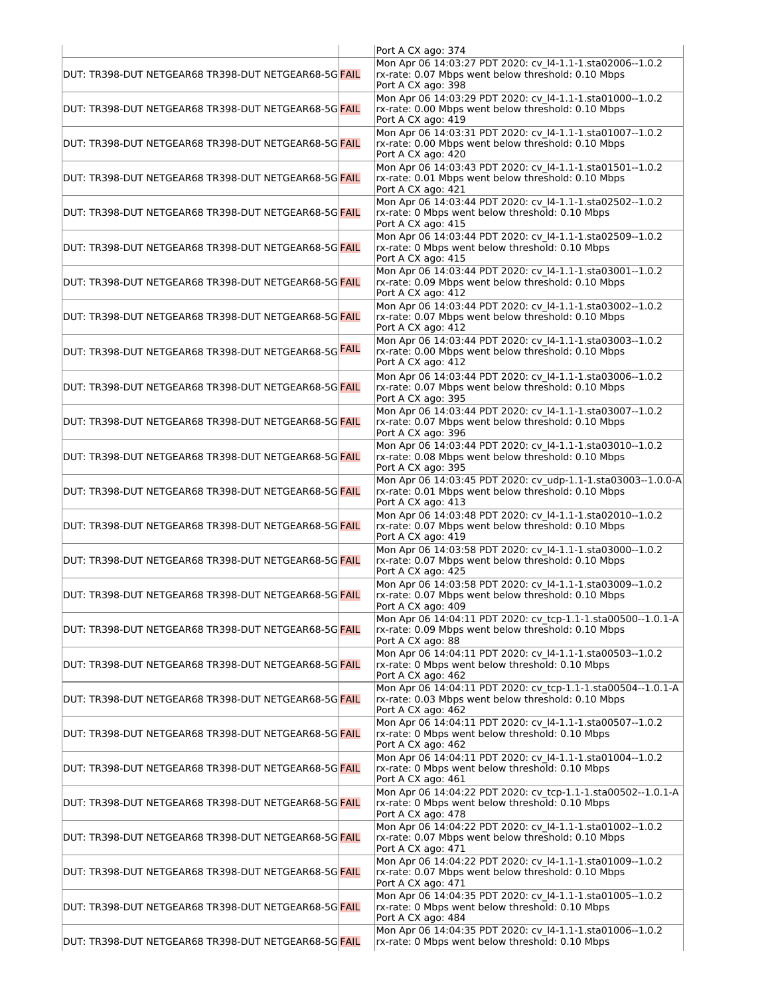|                                                                    | Port A CX ago: 374                                                                                                                       |
|--------------------------------------------------------------------|------------------------------------------------------------------------------------------------------------------------------------------|
| DUT: TR398-DUT NETGEAR68 TR398-DUT NETGEAR68-5G FAIL               | Mon Apr 06 14:03:27 PDT 2020: cv I4-1.1-1.sta02006--1.0.2<br>rx-rate: 0.07 Mbps went below threshold: 0.10 Mbps<br>Port A CX ago: 398    |
| DUT: TR398-DUT NETGEAR68 TR398-DUT NETGEAR68-5G  <mark>FAIL</mark> | Mon Apr 06 14:03:29 PDT 2020: cv I4-1.1-1.sta01000--1.0.2<br>rx-rate: 0.00 Mbps went below threshold: 0.10 Mbps<br>Port A CX ago: 419    |
| DUT: TR398-DUT NETGEAR68 TR398-DUT NETGEAR68-5G  <mark>FAIL</mark> | Mon Apr 06 14:03:31 PDT 2020: cv_l4-1.1-1.sta01007--1.0.2<br>rx-rate: 0.00 Mbps went below threshold: 0.10 Mbps<br>Port A CX ago: 420    |
| DUT: TR398-DUT NETGEAR68 TR398-DUT NETGEAR68-5G <mark>FAIL</mark>  | Mon Apr 06 14:03:43 PDT 2020: cv I4-1.1-1.sta01501--1.0.2<br>rx-rate: 0.01 Mbps went below threshold: 0.10 Mbps<br>Port A CX ago: 421    |
| DUT: TR398-DUT NETGEAR68 TR398-DUT NETGEAR68-5G  <mark>FAIL</mark> | Mon Apr 06 14:03:44 PDT 2020: cv I4-1.1-1.sta02502--1.0.2<br>rx-rate: 0 Mbps went below threshold: 0.10 Mbps<br>Port A CX ago: 415       |
| DUT: TR398-DUT NETGEAR68 TR398-DUT NETGEAR68-5G  <mark>FAIL</mark> | Mon Apr 06 14:03:44 PDT 2020: cv_l4-1.1-1.sta02509--1.0.2<br>rx-rate: 0 Mbps went below threshold: 0.10 Mbps<br>Port A CX ago: 415       |
| DUT: TR398-DUT NETGEAR68 TR398-DUT NETGEAR68-5G FAIL               | Mon Apr 06 14:03:44 PDT 2020: cv I4-1.1-1.sta03001--1.0.2<br>rx-rate: 0.09 Mbps went below threshold: 0.10 Mbps<br>Port A CX ago: 412    |
| DUT: TR398-DUT NETGEAR68 TR398-DUT NETGEAR68-5G <mark>FAIL</mark>  | Mon Apr 06 14:03:44 PDT 2020: cv_l4-1.1-1.sta03002--1.0.2<br>rx-rate: 0.07 Mbps went below threshold: 0.10 Mbps<br>Port A CX ago: 412    |
| DUT: TR398-DUT NETGEAR68 TR398-DUT NETGEAR68-5G  <mark>FAIL</mark> | Mon Apr 06 14:03:44 PDT 2020: cv I4-1.1-1.sta03003--1.0.2<br>rx-rate: 0.00 Mbps went below threshold: 0.10 Mbps<br>Port A CX ago: 412    |
| DUT: TR398-DUT NETGEAR68 TR398-DUT NETGEAR68-5G  <mark>FAIL</mark> | Mon Apr 06 14:03:44 PDT 2020: cv I4-1.1-1.sta03006--1.0.2<br>rx-rate: 0.07 Mbps went below threshold: 0.10 Mbps<br>Port A CX ago: 395    |
| DUT: TR398-DUT NETGEAR68 TR398-DUT NETGEAR68-5G FAIL               | Mon Apr 06 14:03:44 PDT 2020: cv I4-1.1-1.sta03007--1.0.2<br>rx-rate: 0.07 Mbps went below threshold: 0.10 Mbps<br>Port A CX ago: 396    |
| DUT: TR398-DUT NETGEAR68 TR398-DUT NETGEAR68-5G  <mark>FAIL</mark> | Mon Apr 06 14:03:44 PDT 2020: cv I4-1.1-1.sta03010--1.0.2<br>rx-rate: 0.08 Mbps went below threshold: 0.10 Mbps<br>Port A CX ago: 395    |
| DUT: TR398-DUT NETGEAR68 TR398-DUT NETGEAR68-5G  <mark>FAIL</mark> | Mon Apr 06 14:03:45 PDT 2020: cv udp-1.1-1.sta03003--1.0.0-A<br>rx-rate: 0.01 Mbps went below threshold: 0.10 Mbps<br>Port A CX ago: 413 |
| DUT: TR398-DUT NETGEAR68 TR398-DUT NETGEAR68-5G  <mark>FAIL</mark> | Mon Apr 06 14:03:48 PDT 2020: cv I4-1.1-1.sta02010--1.0.2<br>rx-rate: 0.07 Mbps went below threshold: 0.10 Mbps<br>Port A CX ago: 419    |
| DUT: TR398-DUT NETGEAR68 TR398-DUT NETGEAR68-5G  <mark>FAIL</mark> | Mon Apr 06 14:03:58 PDT 2020: cv I4-1.1-1.sta03000--1.0.2<br>rx-rate: 0.07 Mbps went below threshold: 0.10 Mbps<br>Port A CX ago: 425    |
| DUT: TR398-DUT NETGEAR68 TR398-DUT NETGEAR68-5G <mark>FAIL</mark>  | Mon Apr 06 14:03:58 PDT 2020: cv 14-1.1-1.sta03009--1.0.2<br>rx-rate: 0.07 Mbps went below threshold: 0.10 Mbps<br>Port A CX ago: 409    |
| DUT: TR398-DUT NETGEAR68 TR398-DUT NETGEAR68-5G FAIL               | Mon Apr 06 14:04:11 PDT 2020: cv_tcp-1.1-1.sta00500--1.0.1-A<br>rx-rate: 0.09 Mbps went below threshold: 0.10 Mbps<br>Port A CX ago: 88  |
| DUT: TR398-DUT NETGEAR68 TR398-DUT NETGEAR68-5G  <mark>FAIL</mark> | Mon Apr 06 14:04:11 PDT 2020: cv_l4-1.1-1.sta00503--1.0.2<br>rx-rate: 0 Mbps went below threshold: 0.10 Mbps<br>Port A CX ago: 462       |
| DUT: TR398-DUT NETGEAR68 TR398-DUT NETGEAR68-5G FAIL               | Mon Apr 06 14:04:11 PDT 2020: cv tcp-1.1-1.sta00504--1.0.1-A<br>rx-rate: 0.03 Mbps went below threshold: 0.10 Mbps<br>Port A CX ago: 462 |
| DUT: TR398-DUT NETGEAR68 TR398-DUT NETGEAR68-5G FAIL               | Mon Apr 06 14:04:11 PDT 2020: cv I4-1.1-1.sta00507--1.0.2<br>rx-rate: 0 Mbps went below threshold: 0.10 Mbps<br>Port A CX ago: 462       |
| IDUT: TR398-DUT NETGEAR68 TR398-DUT NETGEAR68-5G <mark>FAIL</mark> | Mon Apr 06 14:04:11 PDT 2020: cv_l4-1.1-1.sta01004--1.0.2<br>rx-rate: 0 Mbps went below threshold: 0.10 Mbps<br>Port A CX ago: 461       |
| DUT: TR398-DUT NETGEAR68 TR398-DUT NETGEAR68-5G  <mark>FAIL</mark> | Mon Apr 06 14:04:22 PDT 2020: cv tcp-1.1-1.sta00502--1.0.1-A<br>rx-rate: 0 Mbps went below threshold: 0.10 Mbps<br>Port A CX ago: 478    |
| DUT: TR398-DUT NETGEAR68 TR398-DUT NETGEAR68-5G  <mark>FAIL</mark> | Mon Apr 06 14:04:22 PDT 2020: cv I4-1.1-1.sta01002--1.0.2<br>rx-rate: 0.07 Mbps went below threshold: 0.10 Mbps<br>Port A CX ago: 471    |
| DUT: TR398-DUT NETGEAR68 TR398-DUT NETGEAR68-5G FAIL               | Mon Apr 06 14:04:22 PDT 2020: cv_l4-1.1-1.sta01009--1.0.2<br>rx-rate: 0.07 Mbps went below threshold: 0.10 Mbps<br>Port A CX ago: 471    |
| DUT: TR398-DUT NETGEAR68 TR398-DUT NETGEAR68-5G  <mark>FAIL</mark> | Mon Apr 06 14:04:35 PDT 2020: cv_l4-1.1-1.sta01005--1.0.2<br>rx-rate: 0 Mbps went below threshold: 0.10 Mbps<br>Port A CX ago: 484       |
| DUT: TR398-DUT NETGEAR68 TR398-DUT NETGEAR68-5G <mark>FAIL</mark>  | Mon Apr 06 14:04:35 PDT 2020: cv I4-1.1-1.sta01006--1.0.2<br>rx-rate: 0 Mbps went below threshold: 0.10 Mbps                             |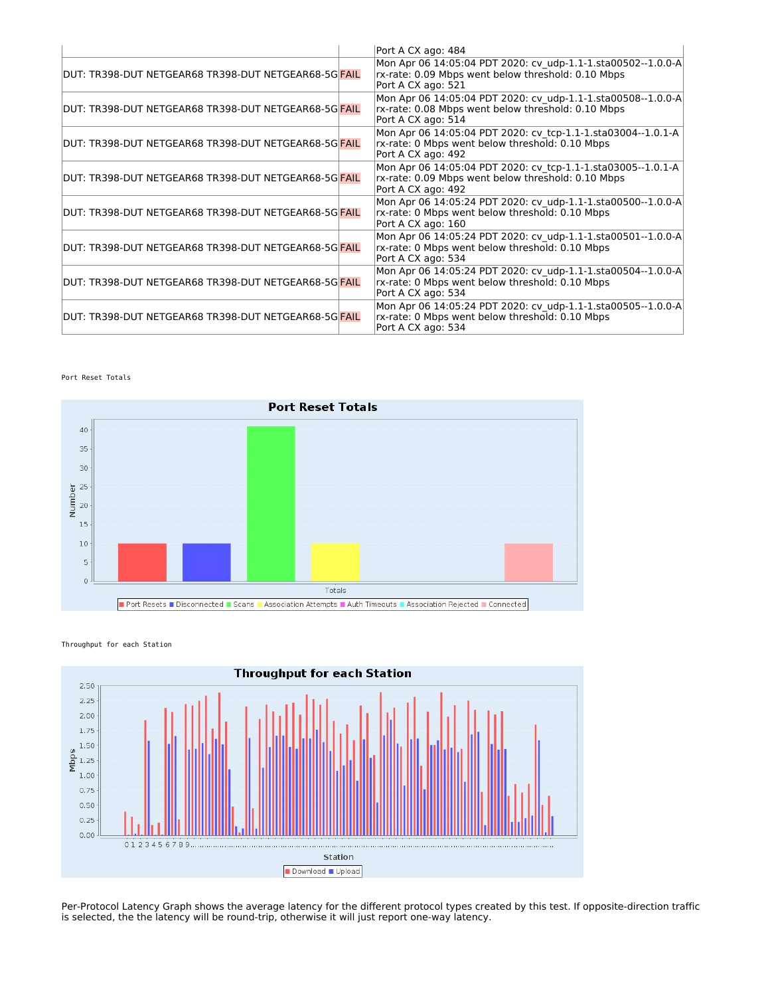|                                                                    | Port A CX ago: 484                                                                                                                       |
|--------------------------------------------------------------------|------------------------------------------------------------------------------------------------------------------------------------------|
| DUT: TR398-DUT NETGEAR68 TR398-DUT NETGEAR68-5G <mark>FAIL</mark>  | Mon Apr 06 14:05:04 PDT 2020: cv udp-1.1-1.sta00502--1.0.0-A<br>rx-rate: 0.09 Mbps went below threshold: 0.10 Mbps<br>Port A CX ago: 521 |
| DUT: TR398-DUT NETGEAR68 TR398-DUT NETGEAR68-5G <mark>FAIL</mark>  | Mon Apr 06 14:05:04 PDT 2020: cv udp-1.1-1.sta00508--1.0.0-A<br>rx-rate: 0.08 Mbps went below threshold: 0.10 Mbps<br>Port A CX ago: 514 |
| DUT: TR398-DUT NETGEAR68 TR398-DUT NETGEAR68-5G  <mark>FAIL</mark> | Mon Apr 06 14:05:04 PDT 2020: cv tcp-1.1-1.sta03004--1.0.1-A<br>rx-rate: 0 Mbps went below threshold: 0.10 Mbps<br>Port A CX ago: 492    |
| lDUT: TR398-DUT NETGEAR68 TR398-DUT NETGEAR68-5GlFAIL              | Mon Apr 06 14:05:04 PDT 2020: cv tcp-1.1-1.sta03005--1.0.1-A<br>rx-rate: 0.09 Mbps went below threshold: 0.10 Mbps<br>Port A CX ago: 492 |
| lDUT: TR398-DUT NETGEAR68 TR398-DUT NETGEAR68-5GlFAIL              | Mon Apr 06 14:05:24 PDT 2020: cv udp-1.1-1.sta00500--1.0.0-A<br>rx-rate: 0 Mbps went below threshold: 0.10 Mbps<br>Port A CX ago: 160    |
| lDUT: TR398-DUT NETGEAR68 TR398-DUT NETGEAR68-5GlFAIL              | Mon Apr 06 14:05:24 PDT 2020: cv udp-1.1-1.sta00501--1.0.0-A<br>rx-rate: 0 Mbps went below threshold: 0.10 Mbps<br>Port A CX ago: 534    |
| lDUT: TR398-DUT NETGEAR68 TR398-DUT NETGEAR68-5GlFAIL              | Mon Apr 06 14:05:24 PDT 2020: cv udp-1.1-1.sta00504--1.0.0-A<br>rx-rate: 0 Mbps went below threshold: 0.10 Mbps<br>Port A CX ago: 534    |
| lDUT: TR398-DUT NETGEAR68 TR398-DUT NETGEAR68-5GlFAIL              | Mon Apr 06 14:05:24 PDT 2020: cv_udp-1.1-1.sta00505--1.0.0-A<br>rx-rate: 0 Mbps went below threshold: 0.10 Mbps<br>Port A CX ago: 534    |

Port Reset Totals



Throughput for each Station



Per-Protocol Latency Graph shows the average latency for the different protocol types created by this test. If opposite-direction traffic is selected, the the latency will be round-trip, otherwise it will just report one-way latency.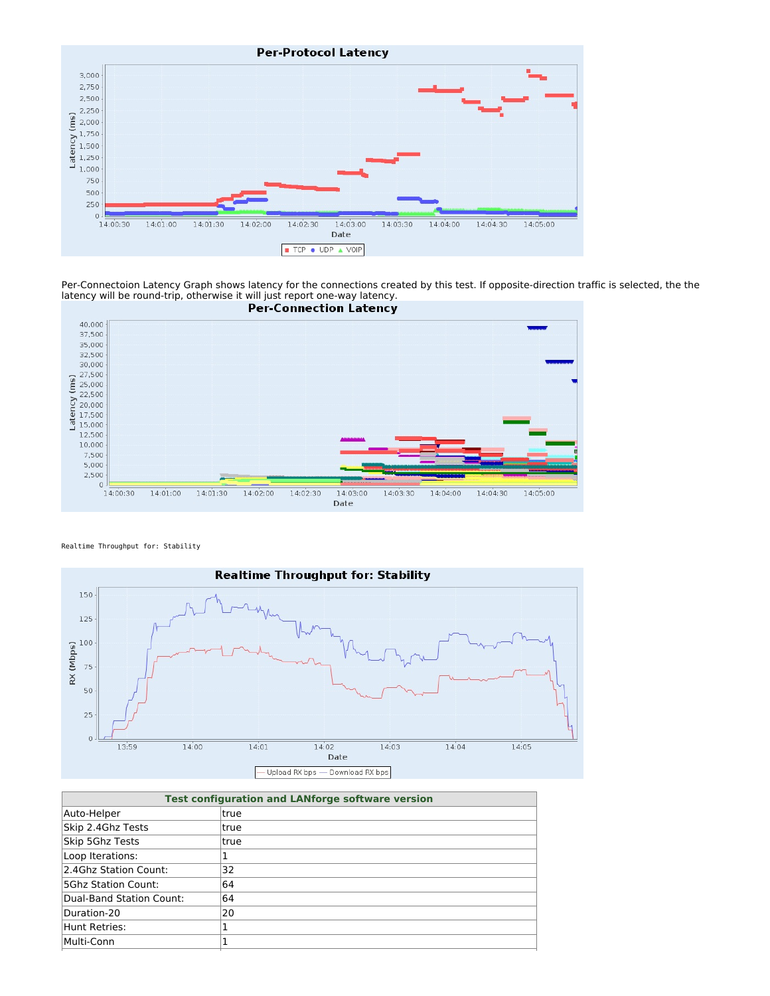

Per-Connectoion Latency Graph shows latency for the connections created by this test. If opposite-direction traffic is selected, the the latency will be round-trip, otherwise it will just report one-way latency.



Realtime Throughput for: Stability



| <b>Test configuration and LANforge software version</b> |              |  |
|---------------------------------------------------------|--------------|--|
| Auto-Helper                                             | Itrue        |  |
| Skip 2.4Ghz Tests                                       | Itrue        |  |
| Skip 5Ghz Tests                                         | <b>Itrue</b> |  |
| Loop Iterations:                                        |              |  |
| 2.4Ghz Station Count:                                   | 32           |  |
| <b>5Ghz Station Count:</b>                              | 64           |  |
| Dual-Band Station Count:                                | 64           |  |
| Duration-20                                             | 20           |  |
| Hunt Retries:                                           |              |  |
| Multi-Conn                                              |              |  |
|                                                         |              |  |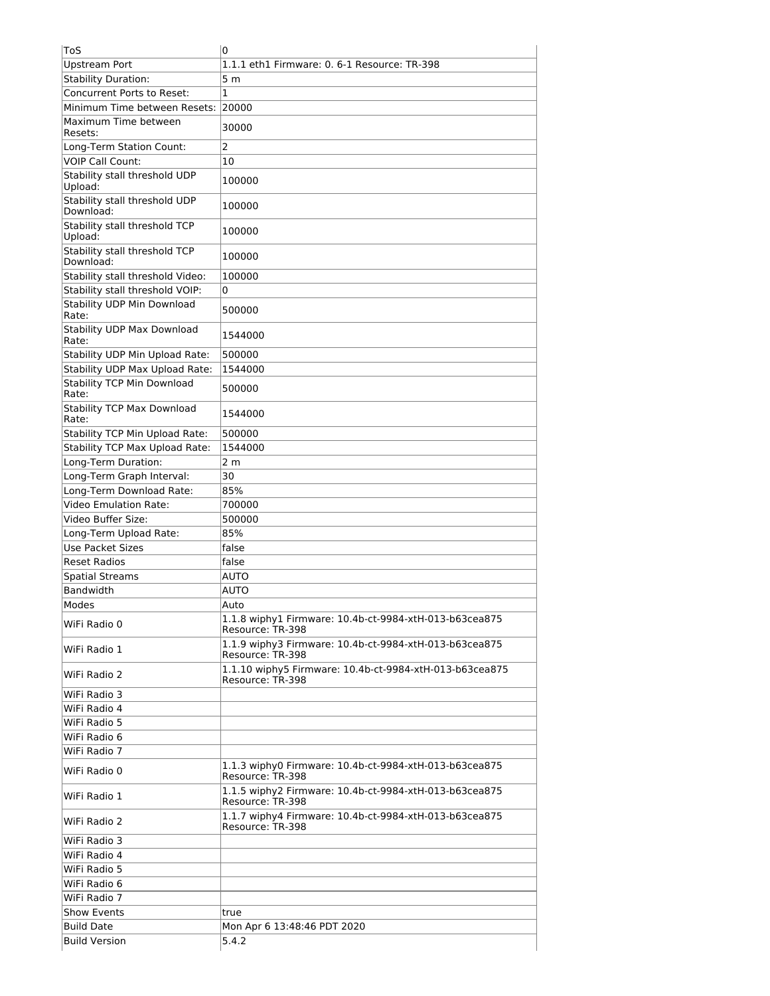| ToS                                        | 0                                                                           |
|--------------------------------------------|-----------------------------------------------------------------------------|
| <b>Upstream Port</b>                       | 1.1.1 eth1 Firmware: 0. 6-1 Resource: TR-398                                |
| <b>Stability Duration:</b>                 | 5 <sub>m</sub>                                                              |
| Concurrent Ports to Reset:                 | $\mathbf{1}$                                                                |
| Minimum Time between Resets:               | 20000                                                                       |
| Maximum Time between<br>Resets:            | 30000                                                                       |
| Long-Term Station Count:                   | $\overline{2}$                                                              |
| <b>VOIP Call Count:</b>                    | 10                                                                          |
| Stability stall threshold UDP<br>Upload:   | 100000                                                                      |
| Stability stall threshold UDP<br>Download: | 100000                                                                      |
| Stability stall threshold TCP<br>Upload:   | 100000                                                                      |
| Stability stall threshold TCP<br>Download: | 100000                                                                      |
| Stability stall threshold Video:           | 100000                                                                      |
| Stability stall threshold VOIP:            | 0                                                                           |
| Stability UDP Min Download<br>Rate:        | 500000                                                                      |
| <b>Stability UDP Max Download</b><br>Rate: | 1544000                                                                     |
| Stability UDP Min Upload Rate:             | 500000                                                                      |
| Stability UDP Max Upload Rate:             | 1544000                                                                     |
| <b>Stability TCP Min Download</b><br>Rate: | 500000                                                                      |
| <b>Stability TCP Max Download</b><br>Rate: | 1544000                                                                     |
| Stability TCP Min Upload Rate:             | 500000                                                                      |
| <b>Stability TCP Max Upload Rate:</b>      | 1544000                                                                     |
| Long-Term Duration:                        | 2 <sub>m</sub>                                                              |
| Long-Term Graph Interval:                  | 30                                                                          |
| Long-Term Download Rate:                   | 85%                                                                         |
| <b>Video Emulation Rate:</b>               | 700000                                                                      |
| Video Buffer Size:                         | 500000                                                                      |
| Long-Term Upload Rate:                     | 85%                                                                         |
| <b>Use Packet Sizes</b>                    | false                                                                       |
| <b>Reset Radios</b>                        | false                                                                       |
| <b>Spatial Streams</b>                     | <b>AUTO</b>                                                                 |
| <b>Bandwidth</b>                           | <b>AUTO</b>                                                                 |
| Modes                                      | Auto                                                                        |
| WiFi Radio 0                               | 1.1.8 wiphy1 Firmware: 10.4b-ct-9984-xtH-013-b63cea875<br>Resource: TR-398  |
| WiFi Radio 1                               | 1.1.9 wiphy3 Firmware: 10.4b-ct-9984-xtH-013-b63cea875<br>Resource: TR-398  |
| WiFi Radio 2                               | 1.1.10 wiphy5 Firmware: 10.4b-ct-9984-xtH-013-b63cea875<br>Resource: TR-398 |
| WiFi Radio 3                               |                                                                             |
| WiFi Radio 4                               |                                                                             |
| WiFi Radio 5                               |                                                                             |
| WiFi Radio 6                               |                                                                             |
| WiFi Radio 7                               |                                                                             |
| WiFi Radio 0                               | 1.1.3 wiphy0 Firmware: 10.4b-ct-9984-xtH-013-b63cea875<br>Resource: TR-398  |
| WiFi Radio 1                               | 1.1.5 wiphy2 Firmware: 10.4b-ct-9984-xtH-013-b63cea875<br>Resource: TR-398  |
| WiFi Radio 2                               | 1.1.7 wiphy4 Firmware: 10.4b-ct-9984-xtH-013-b63cea875<br>Resource: TR-398  |
| WiFi Radio 3                               |                                                                             |
| WiFi Radio 4                               |                                                                             |
| WiFi Radio 5                               |                                                                             |
| WiFi Radio 6                               |                                                                             |
| WiFi Radio 7                               |                                                                             |
| <b>Show Events</b>                         | true                                                                        |
| <b>Build Date</b>                          | Mon Apr 6 13:48:46 PDT 2020                                                 |
| <b>Build Version</b>                       | 5.4.2                                                                       |